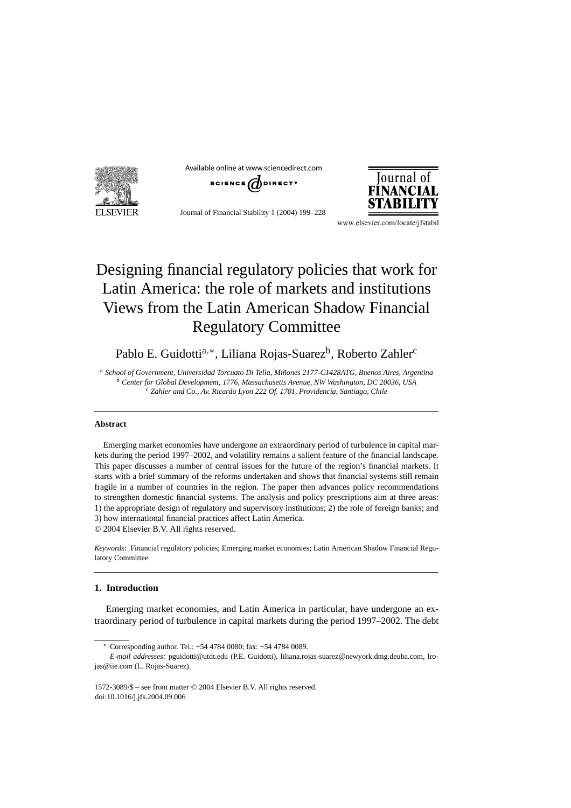

Available online at www.sciencedirect.com



Journal of Financial Stability 1 (2004) 199–228



www.elsevier.com/locate/jfstabil

## Designing financial regulatory policies that work for Latin America: the role of markets and institutions Views from the Latin American Shadow Financial Regulatory Committee

Pablo E. Guidotti<sup>a,∗</sup>, Liliana Rojas-Suarez<sup>b</sup>, Roberto Zahler<sup>c</sup>

<sup>a</sup> *School of Government, Universidad Torcuato Di Tella, Mi ˜nones 2177-C1428ATG, Buenos Aires, Argentina* <sup>b</sup> *Center for Global Development, 1776, Massachusetts Avenue, NW Washington, DC 20036, USA* <sup>c</sup> *Zahler and Co., Av. Ricardo Lyon 222 Of. 1701, Providencia, Santiago, Chile*

## **Abstract**

Emerging market economies have undergone an extraordinary period of turbulence in capital markets during the period 1997–2002, and volatility remains a salient feature of the financial landscape. This paper discusses a number of central issues for the future of the region's financial markets. It starts with a brief summary of the reforms undertaken and shows that financial systems still remain fragile in a number of countries in the region. The paper then advances policy recommendations to strengthen domestic financial systems. The analysis and policy prescriptions aim at three areas: 1) the appropriate design of regulatory and supervisory institutions; 2) the role of foreign banks; and 3) how international financial practices affect Latin America.

© 2004 Elsevier B.V. All rights reserved.

*Keywords:* Financial regulatory policies; Emerging market economies; Latin American Shadow Financial Regulatory Committee

## **1. Introduction**

Emerging market economies, and Latin America in particular, have undergone an extraordinary period of turbulence in capital markets during the period 1997–2002. The debt

<sup>∗</sup> Corresponding author. Tel.: +54 4784 0080; fax: +54 4784 0089.

*E-mail addresses:* pguidotti@utdt.edu (P.E. Guidotti), liliana.rojas-suarez@newyork.dmg.deuba.com, lrojas@iie.com (L. Rojas-Suarez).

<sup>1572-3089/\$ –</sup> see front matter © 2004 Elsevier B.V. All rights reserved. doi:10.1016/j.jfs.2004.09.006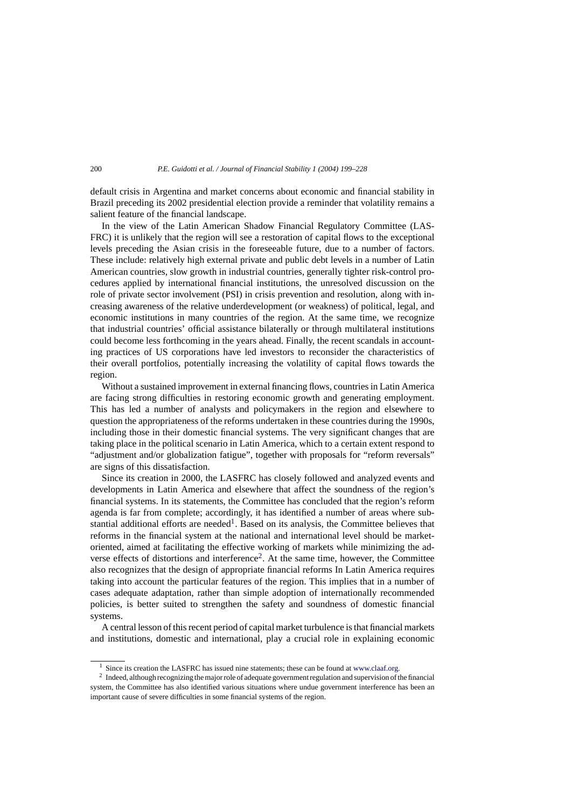default crisis in Argentina and market concerns about economic and financial stability in Brazil preceding its 2002 presidential election provide a reminder that volatility remains a salient feature of the financial landscape.

In the view of the Latin American Shadow Financial Regulatory Committee (LAS-FRC) it is unlikely that the region will see a restoration of capital flows to the exceptional levels preceding the Asian crisis in the foreseeable future, due to a number of factors. These include: relatively high external private and public debt levels in a number of Latin American countries, slow growth in industrial countries, generally tighter risk-control procedures applied by international financial institutions, the unresolved discussion on the role of private sector involvement (PSI) in crisis prevention and resolution, along with increasing awareness of the relative underdevelopment (or weakness) of political, legal, and economic institutions in many countries of the region. At the same time, we recognize that industrial countries' official assistance bilaterally or through multilateral institutions could become less forthcoming in the years ahead. Finally, the recent scandals in accounting practices of US corporations have led investors to reconsider the characteristics of their overall portfolios, potentially increasing the volatility of capital flows towards the region.

Without a sustained improvement in external financing flows, countries in Latin America are facing strong difficulties in restoring economic growth and generating employment. This has led a number of analysts and policymakers in the region and elsewhere to question the appropriateness of the reforms undertaken in these countries during the 1990s, including those in their domestic financial systems. The very significant changes that are taking place in the political scenario in Latin America, which to a certain extent respond to "adjustment and/or globalization fatigue", together with proposals for "reform reversals" are signs of this dissatisfaction.

Since its creation in 2000, the LASFRC has closely followed and analyzed events and developments in Latin America and elsewhere that affect the soundness of the region's financial systems. In its statements, the Committee has concluded that the region's reform agenda is far from complete; accordingly, it has identified a number of areas where substantial additional efforts are needed<sup>1</sup>. Based on its analysis, the Committee believes that reforms in the financial system at the national and international level should be marketoriented, aimed at facilitating the effective working of markets while minimizing the adverse effects of distortions and interference2. At the same time, however, the Committee also recognizes that the design of appropriate financial reforms In Latin America requires taking into account the particular features of the region. This implies that in a number of cases adequate adaptation, rather than simple adoption of internationally recommended policies, is better suited to strengthen the safety and soundness of domestic financial systems.

A central lesson of this recent period of capital market turbulence is that financial markets and institutions, domestic and international, play a crucial role in explaining economic

 $<sup>1</sup>$  Since its creation the LASFRC has issued nine statements; these can be found at [www.claaf.org.](http://www.claaf.org/)</sup>

<sup>2</sup> Indeed, although recognizing the major role of adequate government regulation and supervision of the financial system, the Committee has also identified various situations where undue government interference has been an important cause of severe difficulties in some financial systems of the region.